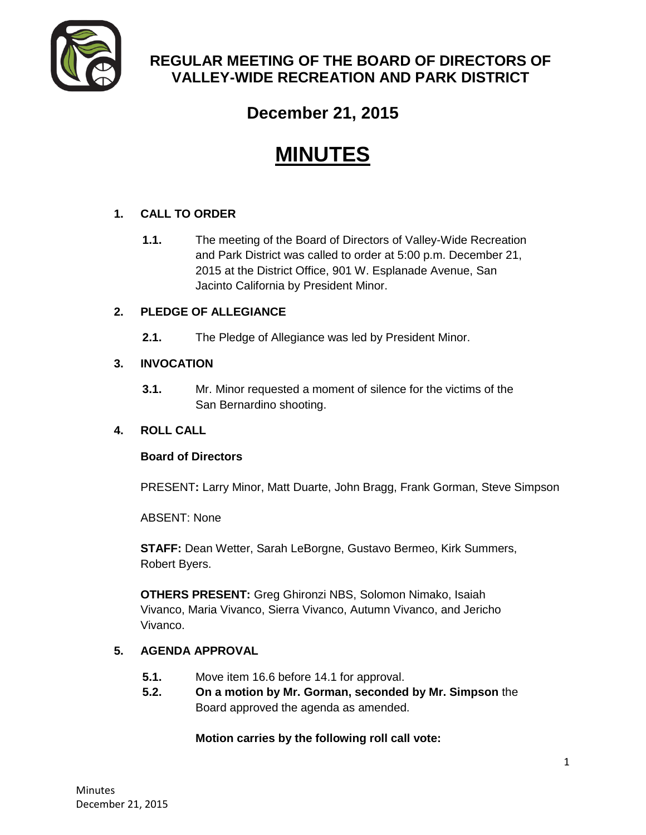

## **REGULAR MEETING OF THE BOARD OF DIRECTORS OF VALLEY-WIDE RECREATION AND PARK DISTRICT**

# **December 21, 2015**

# **MINUTES**

## **1. CALL TO ORDER**

**1.1.** The meeting of the Board of Directors of Valley-Wide Recreation and Park District was called to order at 5:00 p.m. December 21, 2015 at the District Office, 901 W. Esplanade Avenue, San Jacinto California by President Minor.

## **2. PLEDGE OF ALLEGIANCE**

**2.1.** The Pledge of Allegiance was led by President Minor.

## **3. INVOCATION**

**3.1.** Mr. Minor requested a moment of silence for the victims of the San Bernardino shooting.

## **4. ROLL CALL**

## **Board of Directors**

PRESENT**:** Larry Minor, Matt Duarte, John Bragg, Frank Gorman, Steve Simpson

ABSENT: None

**STAFF:** Dean Wetter, Sarah LeBorgne, Gustavo Bermeo, Kirk Summers, Robert Byers.

**OTHERS PRESENT:** Greg Ghironzi NBS, Solomon Nimako, Isaiah Vivanco, Maria Vivanco, Sierra Vivanco, Autumn Vivanco, and Jericho Vivanco.

## **5. AGENDA APPROVAL**

- **5.1.** Move item 16.6 before 14.1 for approval.
- **5.2. On a motion by Mr. Gorman, seconded by Mr. Simpson** the Board approved the agenda as amended.

## **Motion carries by the following roll call vote:**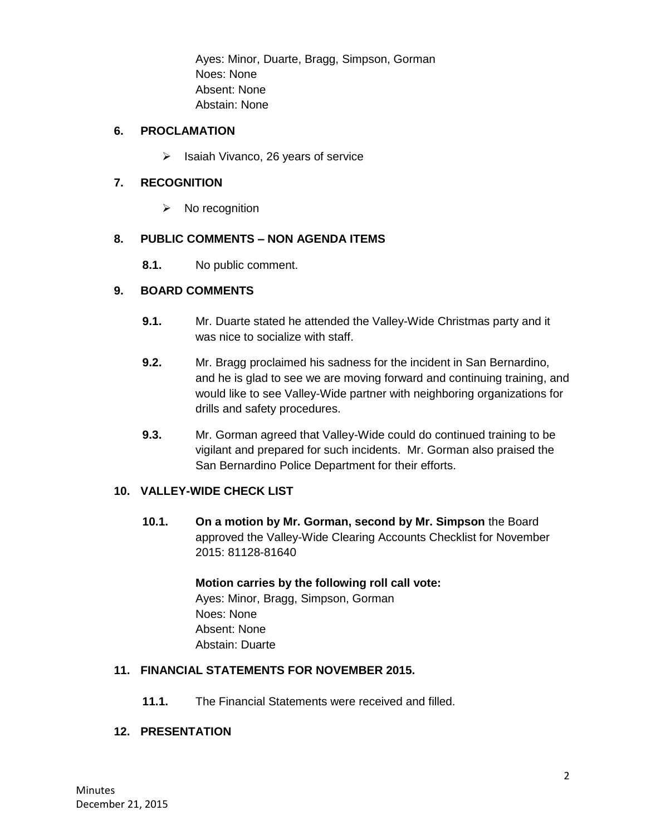Ayes: Minor, Duarte, Bragg, Simpson, Gorman Noes: None Absent: None Abstain: None

## **6. PROCLAMATION**

 $\triangleright$  Isaiah Vivanco, 26 years of service

## **7. RECOGNITION**

 $\triangleright$  No recognition

## **8. PUBLIC COMMENTS – NON AGENDA ITEMS**

**8.1.** No public comment.

#### **9. BOARD COMMENTS**

- **9.1.** Mr. Duarte stated he attended the Valley-Wide Christmas party and it was nice to socialize with staff.
- **9.2.** Mr. Bragg proclaimed his sadness for the incident in San Bernardino, and he is glad to see we are moving forward and continuing training, and would like to see Valley-Wide partner with neighboring organizations for drills and safety procedures.
- **9.3.** Mr. Gorman agreed that Valley-Wide could do continued training to be vigilant and prepared for such incidents. Mr. Gorman also praised the San Bernardino Police Department for their efforts.

## **10. VALLEY-WIDE CHECK LIST**

**10.1. On a motion by Mr. Gorman, second by Mr. Simpson** the Board approved the Valley-Wide Clearing Accounts Checklist for November 2015: 81128-81640

#### **Motion carries by the following roll call vote:**  Ayes: Minor, Bragg, Simpson, Gorman

Noes: None Absent: None Abstain: Duarte

## **11. FINANCIAL STATEMENTS FOR NOVEMBER 2015.**

**11.1.** The Financial Statements were received and filled.

## **12. PRESENTATION**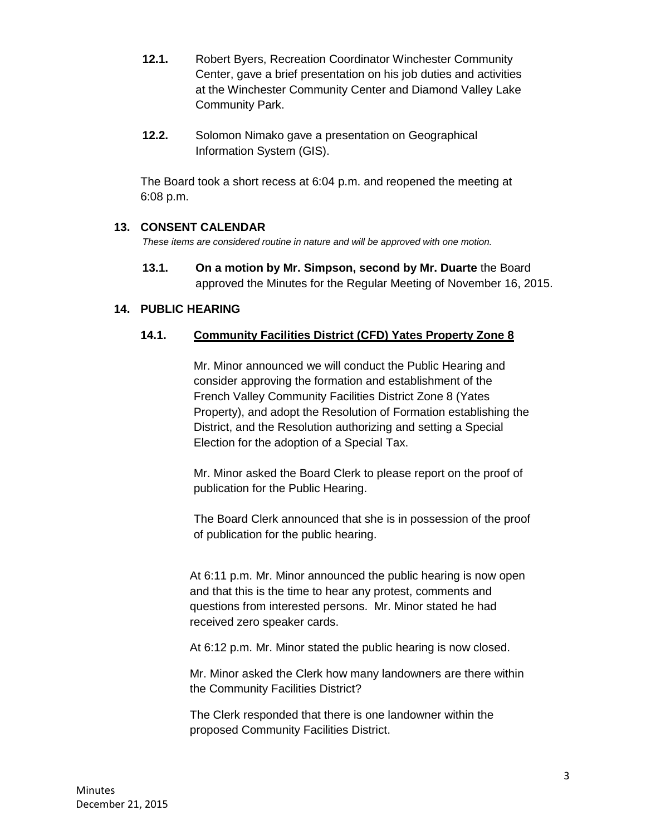- **12.1.** Robert Byers, Recreation Coordinator Winchester Community Center, gave a brief presentation on his job duties and activities at the Winchester Community Center and Diamond Valley Lake Community Park.
- **12.2.** Solomon Nimako gave a presentation on Geographical Information System (GIS).

The Board took a short recess at 6:04 p.m. and reopened the meeting at 6:08 p.m.

#### **13. CONSENT CALENDAR**

*These items are considered routine in nature and will be approved with one motion.* 

**13.1. On a motion by Mr. Simpson, second by Mr. Duarte** the Board approved the Minutes for the Regular Meeting of November 16, 2015.

## **14. PUBLIC HEARING**

## **14.1. Community Facilities District (CFD) Yates Property Zone 8**

Mr. Minor announced we will conduct the Public Hearing and consider approving the formation and establishment of the French Valley Community Facilities District Zone 8 (Yates Property), and adopt the Resolution of Formation establishing the District, and the Resolution authorizing and setting a Special Election for the adoption of a Special Tax.

Mr. Minor asked the Board Clerk to please report on the proof of publication for the Public Hearing.

The Board Clerk announced that she is in possession of the proof of publication for the public hearing.

At 6:11 p.m. Mr. Minor announced the public hearing is now open and that this is the time to hear any protest, comments and questions from interested persons. Mr. Minor stated he had received zero speaker cards.

At 6:12 p.m. Mr. Minor stated the public hearing is now closed.

Mr. Minor asked the Clerk how many landowners are there within the Community Facilities District?

The Clerk responded that there is one landowner within the proposed Community Facilities District.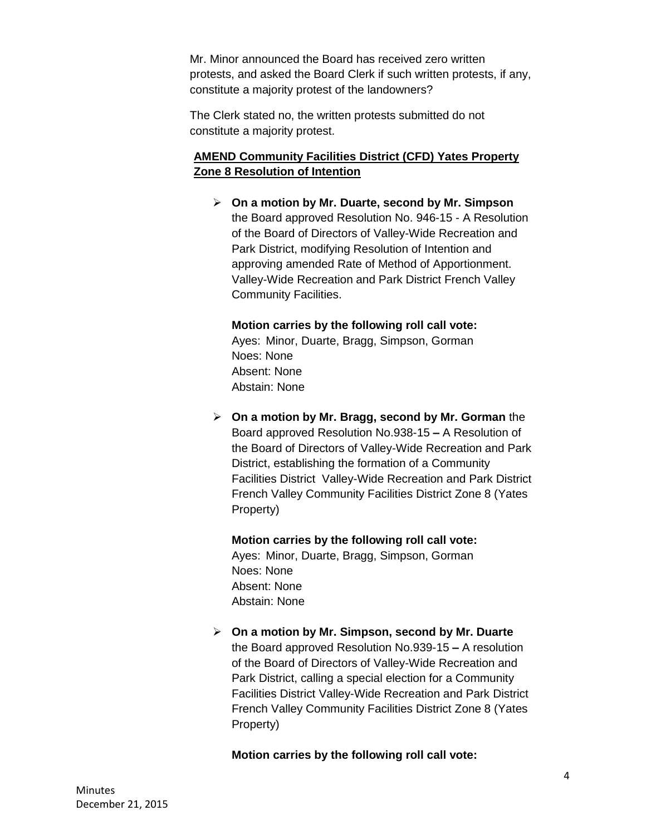Mr. Minor announced the Board has received zero written protests, and asked the Board Clerk if such written protests, if any, constitute a majority protest of the landowners?

The Clerk stated no, the written protests submitted do not constitute a majority protest.

## **AMEND Community Facilities District (CFD) Yates Property Zone 8 Resolution of Intention**

 **On a motion by Mr. Duarte, second by Mr. Simpson**  the Board approved Resolution No. 946-15 - A Resolution of the Board of Directors of Valley-Wide Recreation and Park District, modifying Resolution of Intention and approving amended Rate of Method of Apportionment. Valley-Wide Recreation and Park District French Valley Community Facilities.

**Motion carries by the following roll call vote:**  Ayes: Minor, Duarte, Bragg, Simpson, Gorman Noes: None Absent: None Abstain: None

 **On a motion by Mr. Bragg, second by Mr. Gorman** the Board approved Resolution No.938-15 **–** A Resolution of the Board of Directors of Valley-Wide Recreation and Park District, establishing the formation of a Community Facilities District Valley-Wide Recreation and Park District French Valley Community Facilities District Zone 8 (Yates Property)

**Motion carries by the following roll call vote:**  Ayes: Minor, Duarte, Bragg, Simpson, Gorman Noes: None Absent: None Abstain: None

 **On a motion by Mr. Simpson, second by Mr. Duarte**  the Board approved Resolution No.939-15 **–** A resolution of the Board of Directors of Valley-Wide Recreation and Park District, calling a special election for a Community Facilities District Valley-Wide Recreation and Park District French Valley Community Facilities District Zone 8 (Yates Property)

**Motion carries by the following roll call vote:**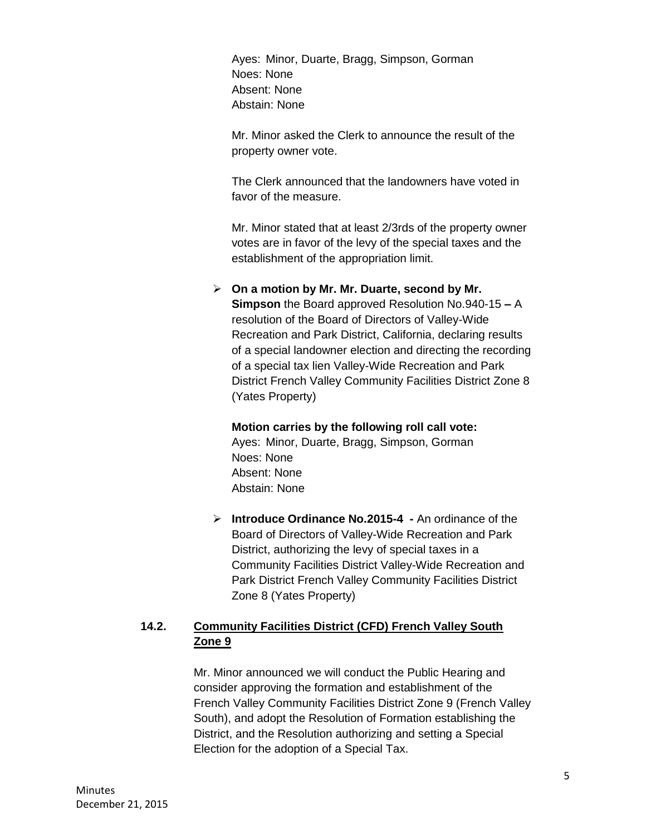Ayes: Minor, Duarte, Bragg, Simpson, Gorman Noes: None Absent: None Abstain: None

Mr. Minor asked the Clerk to announce the result of the property owner vote.

The Clerk announced that the landowners have voted in favor of the measure.

Mr. Minor stated that at least 2/3rds of the property owner votes are in favor of the levy of the special taxes and the establishment of the appropriation limit.

#### **On a motion by Mr. Mr. Duarte, second by Mr.**

**Simpson** the Board approved Resolution No.940-15 **–** A resolution of the Board of Directors of Valley-Wide Recreation and Park District, California, declaring results of a special landowner election and directing the recording of a special tax lien Valley-Wide Recreation and Park District French Valley Community Facilities District Zone 8 (Yates Property)

#### **Motion carries by the following roll call vote:**

Ayes: Minor, Duarte, Bragg, Simpson, Gorman Noes: None Absent: None Abstain: None

 **Introduce Ordinance No.2015-4 -** An ordinance of the Board of Directors of Valley-Wide Recreation and Park District, authorizing the levy of special taxes in a Community Facilities District Valley-Wide Recreation and Park District French Valley Community Facilities District Zone 8 (Yates Property)

## **14.2. Community Facilities District (CFD) French Valley South Zone 9**

Mr. Minor announced we will conduct the Public Hearing and consider approving the formation and establishment of the French Valley Community Facilities District Zone 9 (French Valley South), and adopt the Resolution of Formation establishing the District, and the Resolution authorizing and setting a Special Election for the adoption of a Special Tax.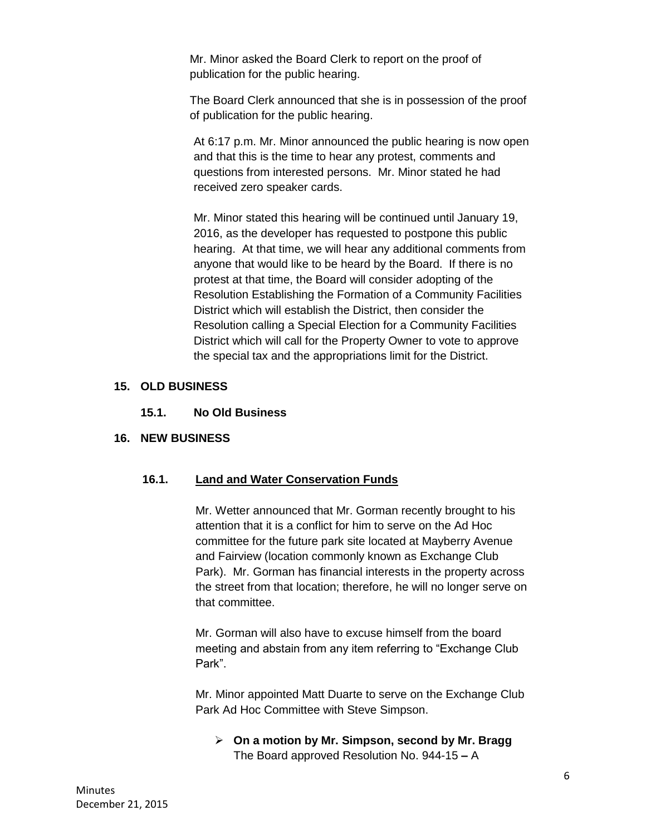Mr. Minor asked the Board Clerk to report on the proof of publication for the public hearing.

The Board Clerk announced that she is in possession of the proof of publication for the public hearing.

At 6:17 p.m. Mr. Minor announced the public hearing is now open and that this is the time to hear any protest, comments and questions from interested persons. Mr. Minor stated he had received zero speaker cards.

Mr. Minor stated this hearing will be continued until January 19, 2016, as the developer has requested to postpone this public hearing. At that time, we will hear any additional comments from anyone that would like to be heard by the Board. If there is no protest at that time, the Board will consider adopting of the Resolution Establishing the Formation of a Community Facilities District which will establish the District, then consider the Resolution calling a Special Election for a Community Facilities District which will call for the Property Owner to vote to approve the special tax and the appropriations limit for the District.

#### **15. OLD BUSINESS**

#### **15.1. No Old Business**

#### **16. NEW BUSINESS**

#### **16.1. Land and Water Conservation Funds**

Mr. Wetter announced that Mr. Gorman recently brought to his attention that it is a conflict for him to serve on the Ad Hoc committee for the future park site located at Mayberry Avenue and Fairview (location commonly known as Exchange Club Park). Mr. Gorman has financial interests in the property across the street from that location; therefore, he will no longer serve on that committee.

Mr. Gorman will also have to excuse himself from the board meeting and abstain from any item referring to "Exchange Club Park".

Mr. Minor appointed Matt Duarte to serve on the Exchange Club Park Ad Hoc Committee with Steve Simpson.

 **On a motion by Mr. Simpson, second by Mr. Bragg**  The Board approved Resolution No. 944-15 **–** A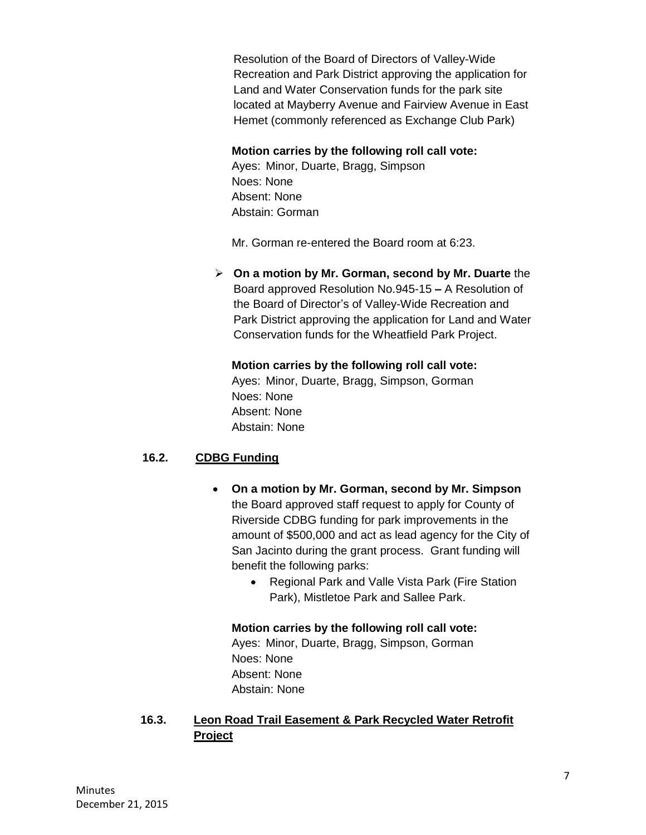Resolution of the Board of Directors of Valley-Wide Recreation and Park District approving the application for Land and Water Conservation funds for the park site located at Mayberry Avenue and Fairview Avenue in East Hemet (commonly referenced as Exchange Club Park)

#### **Motion carries by the following roll call vote:**

Ayes: Minor, Duarte, Bragg, Simpson Noes: None Absent: None Abstain: Gorman

Mr. Gorman re-entered the Board room at 6:23.

 **On a motion by Mr. Gorman, second by Mr. Duarte** the Board approved Resolution No.945-15 **–** A Resolution of the Board of Director's of Valley-Wide Recreation and Park District approving the application for Land and Water Conservation funds for the Wheatfield Park Project.

#### **Motion carries by the following roll call vote:**

Ayes: Minor, Duarte, Bragg, Simpson, Gorman Noes: None Absent: None Abstain: None

## **16.2. CDBG Funding**

- **On a motion by Mr. Gorman, second by Mr. Simpson** the Board approved staff request to apply for County of Riverside CDBG funding for park improvements in the amount of \$500,000 and act as lead agency for the City of San Jacinto during the grant process. Grant funding will benefit the following parks:
	- Regional Park and Valle Vista Park (Fire Station Park), Mistletoe Park and Sallee Park.

#### **Motion carries by the following roll call vote:**

Ayes: Minor, Duarte, Bragg, Simpson, Gorman Noes: None Absent: None Abstain: None

## **16.3. Leon Road Trail Easement & Park Recycled Water Retrofit Project**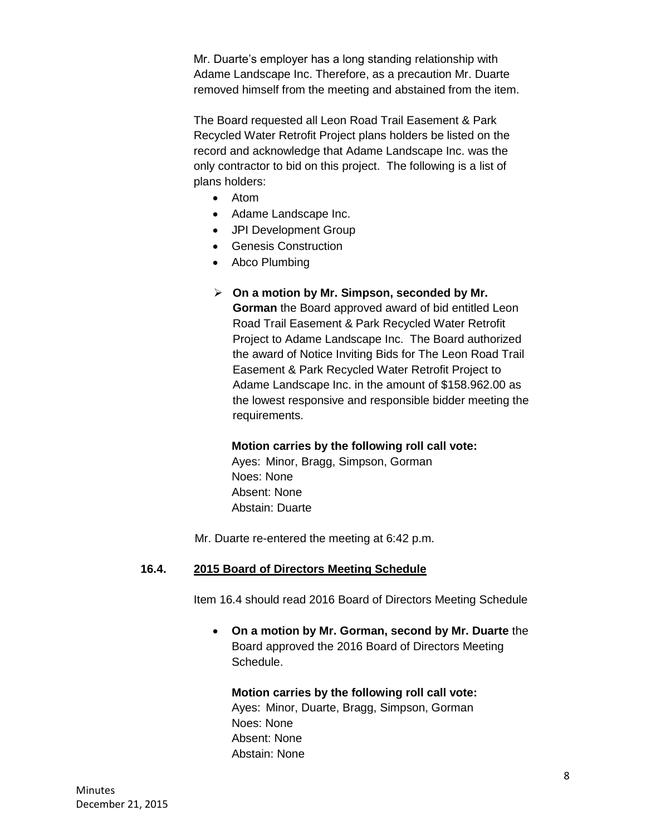Mr. Duarte's employer has a long standing relationship with Adame Landscape Inc. Therefore, as a precaution Mr. Duarte removed himself from the meeting and abstained from the item.

The Board requested all Leon Road Trail Easement & Park Recycled Water Retrofit Project plans holders be listed on the record and acknowledge that Adame Landscape Inc. was the only contractor to bid on this project. The following is a list of plans holders:

- Atom
- Adame Landscape Inc.
- JPI Development Group
- Genesis Construction
- Abco Plumbing

#### **On a motion by Mr. Simpson, seconded by Mr.**

**Gorman** the Board approved award of bid entitled Leon Road Trail Easement & Park Recycled Water Retrofit Project to Adame Landscape Inc. The Board authorized the award of Notice Inviting Bids for The Leon Road Trail Easement & Park Recycled Water Retrofit Project to Adame Landscape Inc. in the amount of \$158.962.00 as the lowest responsive and responsible bidder meeting the requirements.

#### **Motion carries by the following roll call vote:**

Ayes: Minor, Bragg, Simpson, Gorman Noes: None Absent: None Abstain: Duarte

Mr. Duarte re-entered the meeting at 6:42 p.m.

#### **16.4. 2015 Board of Directors Meeting Schedule**

Item 16.4 should read 2016 Board of Directors Meeting Schedule

 **On a motion by Mr. Gorman, second by Mr. Duarte** the Board approved the 2016 Board of Directors Meeting Schedule.

#### **Motion carries by the following roll call vote:**

Ayes: Minor, Duarte, Bragg, Simpson, Gorman Noes: None Absent: None Abstain: None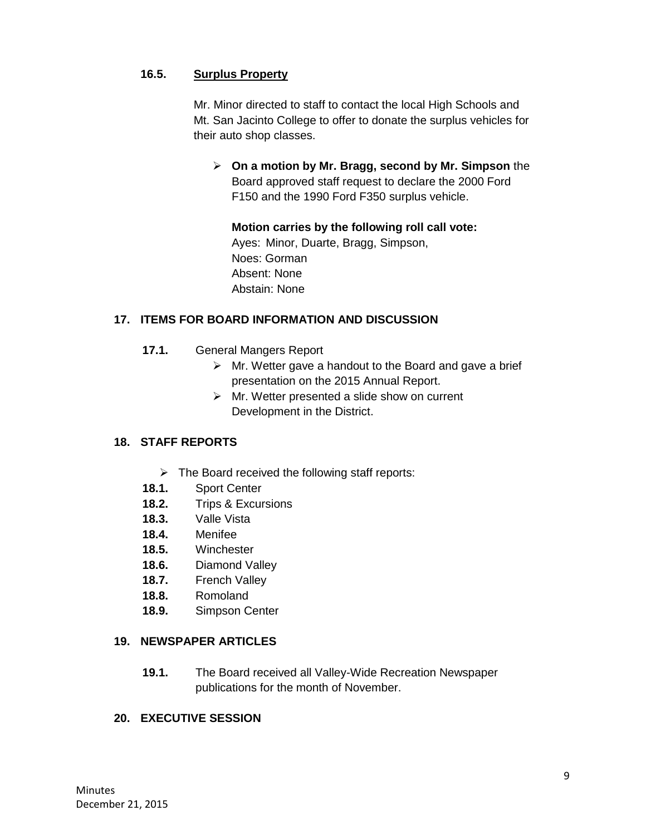## **16.5. Surplus Property**

Mr. Minor directed to staff to contact the local High Schools and Mt. San Jacinto College to offer to donate the surplus vehicles for their auto shop classes.

 **On a motion by Mr. Bragg, second by Mr. Simpson** the Board approved staff request to declare the 2000 Ford F150 and the 1990 Ford F350 surplus vehicle.

**Motion carries by the following roll call vote:**  Ayes: Minor, Duarte, Bragg, Simpson, Noes: Gorman Absent: None Abstain: None

#### **17. ITEMS FOR BOARD INFORMATION AND DISCUSSION**

- **17.1.** General Mangers Report
	- $\triangleright$  Mr. Wetter gave a handout to the Board and gave a brief presentation on the 2015 Annual Report.
	- $\triangleright$  Mr. Wetter presented a slide show on current Development in the District.

#### **18. STAFF REPORTS**

- $\triangleright$  The Board received the following staff reports:
- **18.1.** Sport Center
- **18.2.** Trips & Excursions
- **18.3.** Valle Vista
- **18.4.** Menifee
- **18.5.** Winchester
- **18.6.** Diamond Valley
- **18.7.** French Valley
- **18.8.** Romoland
- **18.9.** Simpson Center

#### **19. NEWSPAPER ARTICLES**

**19.1.** The Board received all Valley-Wide Recreation Newspaper publications for the month of November.

#### **20. EXECUTIVE SESSION**